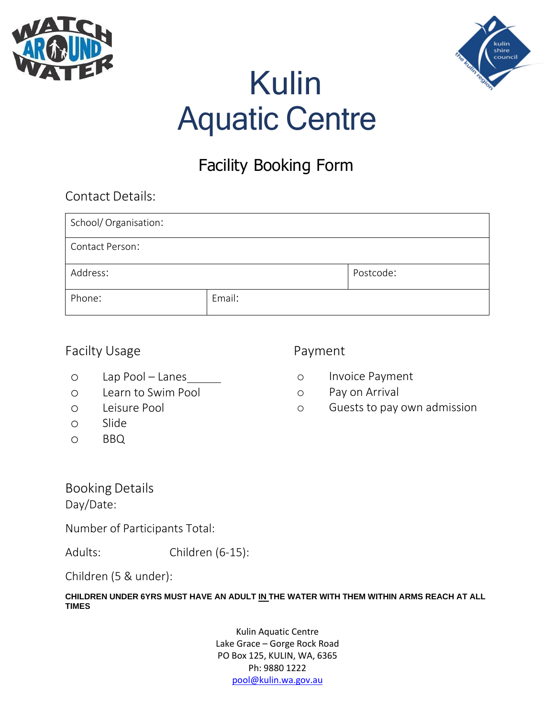



# Kulin Aquatic Centre

## Facility Booking Form

| <b>Contact Details:</b> |        |           |  |
|-------------------------|--------|-----------|--|
| School/Organisation:    |        |           |  |
| <b>Contact Person:</b>  |        |           |  |
| Address:                |        | Postcode: |  |
| Phone:                  | Email: |           |  |

## Facilty Usage **Payment**

- o Lap Pool Lanes
- o Learn to Swim Pool
- o Leisure Pool
- o Slide
- o BBQ

- o Invoice Payment
- o Pay on Arrival
- o Guests to pay own admission

Booking Details

Day/Date:

Number of Participants Total:

Adults: Children (6-15):

Children (5 & under):

**CHILDREN UNDER 6YRS MUST HAVE AN ADULT IN THE WATER WITH THEM WITHIN ARMS REACH AT ALL TIMES**

> Kulin Aquatic Centre Lake Grace – Gorge Rock Road PO Box 125, KULIN, WA, 6365 Ph: 9880 1222 [pool@kulin.wa.gov.au](mailto:pool@kulin.wa.gov.au)